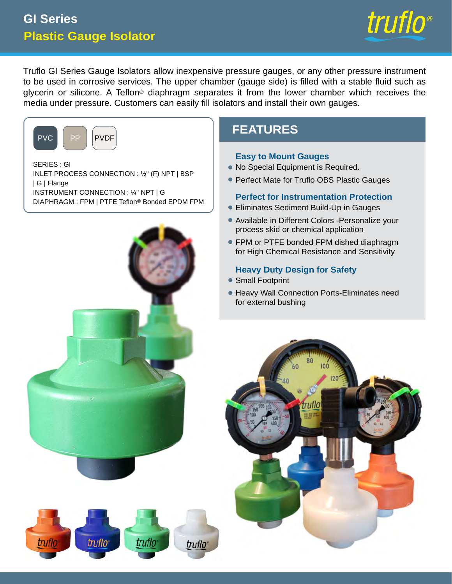# **Plastic Gauge Isolator GI Series**



Truflo GI Series Gauge Isolators allow inexpensive pressure gauges, or any other pressure instrument to be used in corrosive services. The upper chamber (gauge side) is filled with a stable fluid such as glycerin or silicone. A Teflon® diaphragm separates it from the lower chamber which receives the media under pressure. Customers can easily fill isolators and install their own gauges.



SERIES : GI INLET PROCESS CONNECTION : ½" (F) NPT | BSP | G | Flange INSTRUMENT CONNECTION : ¼" NPT | G DIAPHRAGM : FPM | PTFE Teflon® Bonded EPDM FPM



# **FEATURES**

#### **Easy to Mount Gauges**

- No Special Equipment is Required. •
- Perfect Mate for Truflo OBS Plastic Gauges

#### **Perfect for Instrumentation Protection**

- Eliminates Sediment Build-Up in Gauges
- Available in Different Colors -Personalize your process skid or chemical application
- FPM or PTFE bonded FPM dished diaphragm for High Chemical Resistance and Sensitivity

#### **Heavy Duty Design for Safety**

- Small Footprint
- Heavy Wall Connection Ports-Eliminates need for external bushing